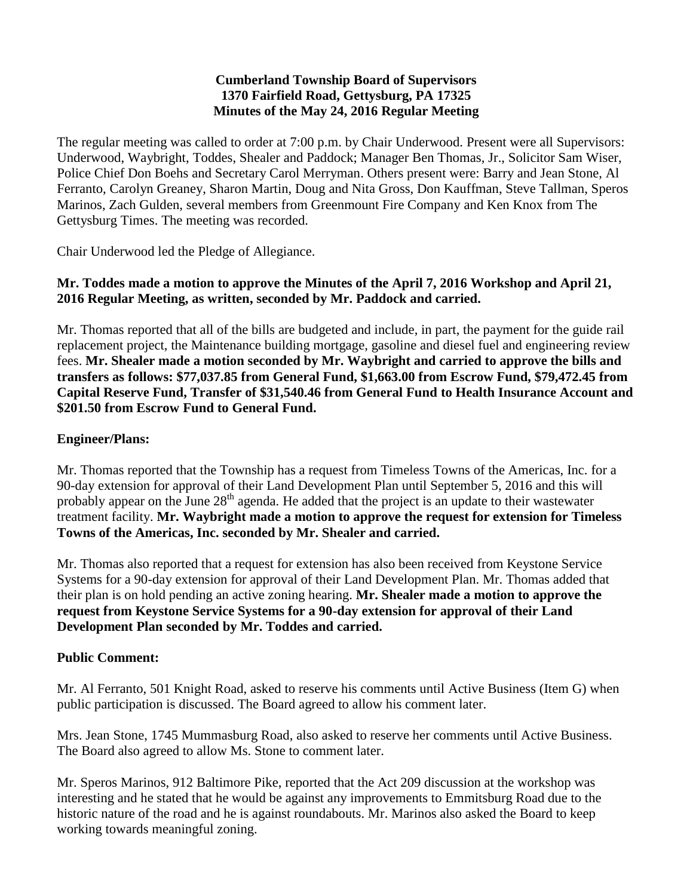#### **Cumberland Township Board of Supervisors 1370 Fairfield Road, Gettysburg, PA 17325 Minutes of the May 24, 2016 Regular Meeting**

The regular meeting was called to order at 7:00 p.m. by Chair Underwood. Present were all Supervisors: Underwood, Waybright, Toddes, Shealer and Paddock; Manager Ben Thomas, Jr., Solicitor Sam Wiser, Police Chief Don Boehs and Secretary Carol Merryman. Others present were: Barry and Jean Stone, Al Ferranto, Carolyn Greaney, Sharon Martin, Doug and Nita Gross, Don Kauffman, Steve Tallman, Speros Marinos, Zach Gulden, several members from Greenmount Fire Company and Ken Knox from The Gettysburg Times. The meeting was recorded.

Chair Underwood led the Pledge of Allegiance.

### **Mr. Toddes made a motion to approve the Minutes of the April 7, 2016 Workshop and April 21, 2016 Regular Meeting, as written, seconded by Mr. Paddock and carried.**

Mr. Thomas reported that all of the bills are budgeted and include, in part, the payment for the guide rail replacement project, the Maintenance building mortgage, gasoline and diesel fuel and engineering review fees. **Mr. Shealer made a motion seconded by Mr. Waybright and carried to approve the bills and transfers as follows: \$77,037.85 from General Fund, \$1,663.00 from Escrow Fund, \$79,472.45 from Capital Reserve Fund, Transfer of \$31,540.46 from General Fund to Health Insurance Account and \$201.50 from Escrow Fund to General Fund.**

### **Engineer/Plans:**

Mr. Thomas reported that the Township has a request from Timeless Towns of the Americas, Inc. for a 90-day extension for approval of their Land Development Plan until September 5, 2016 and this will probably appear on the June 28<sup>th</sup> agenda. He added that the project is an update to their wastewater treatment facility. **Mr. Waybright made a motion to approve the request for extension for Timeless Towns of the Americas, Inc. seconded by Mr. Shealer and carried.**

Mr. Thomas also reported that a request for extension has also been received from Keystone Service Systems for a 90-day extension for approval of their Land Development Plan. Mr. Thomas added that their plan is on hold pending an active zoning hearing. **Mr. Shealer made a motion to approve the request from Keystone Service Systems for a 90-day extension for approval of their Land Development Plan seconded by Mr. Toddes and carried.**

### **Public Comment:**

Mr. Al Ferranto, 501 Knight Road, asked to reserve his comments until Active Business (Item G) when public participation is discussed. The Board agreed to allow his comment later.

Mrs. Jean Stone, 1745 Mummasburg Road, also asked to reserve her comments until Active Business. The Board also agreed to allow Ms. Stone to comment later.

Mr. Speros Marinos, 912 Baltimore Pike, reported that the Act 209 discussion at the workshop was interesting and he stated that he would be against any improvements to Emmitsburg Road due to the historic nature of the road and he is against roundabouts. Mr. Marinos also asked the Board to keep working towards meaningful zoning.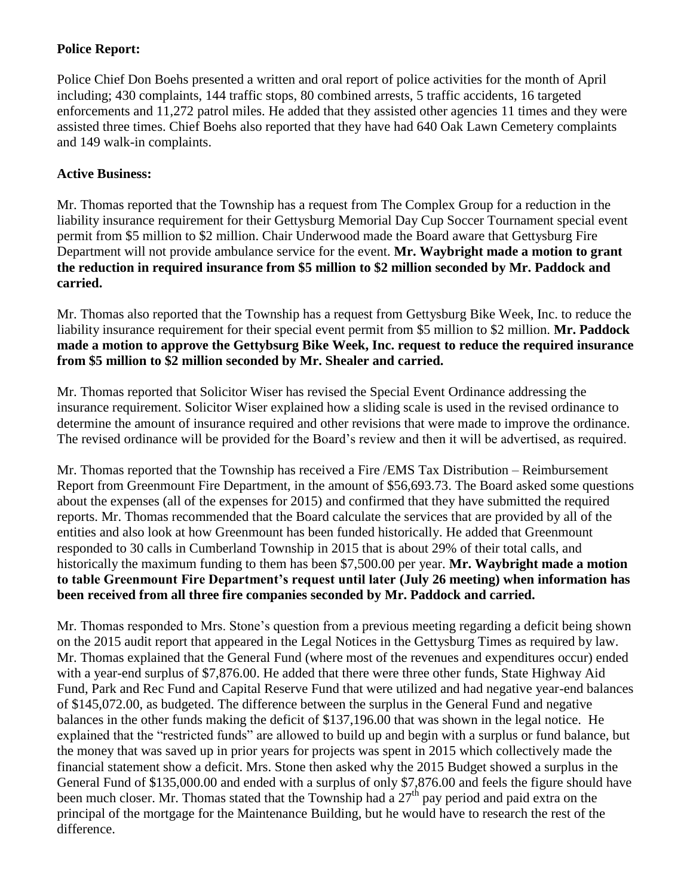## **Police Report:**

Police Chief Don Boehs presented a written and oral report of police activities for the month of April including; 430 complaints, 144 traffic stops, 80 combined arrests, 5 traffic accidents, 16 targeted enforcements and 11,272 patrol miles. He added that they assisted other agencies 11 times and they were assisted three times. Chief Boehs also reported that they have had 640 Oak Lawn Cemetery complaints and 149 walk-in complaints.

## **Active Business:**

Mr. Thomas reported that the Township has a request from The Complex Group for a reduction in the liability insurance requirement for their Gettysburg Memorial Day Cup Soccer Tournament special event permit from \$5 million to \$2 million. Chair Underwood made the Board aware that Gettysburg Fire Department will not provide ambulance service for the event. **Mr. Waybright made a motion to grant the reduction in required insurance from \$5 million to \$2 million seconded by Mr. Paddock and carried.**

Mr. Thomas also reported that the Township has a request from Gettysburg Bike Week, Inc. to reduce the liability insurance requirement for their special event permit from \$5 million to \$2 million. **Mr. Paddock made a motion to approve the Gettybsurg Bike Week, Inc. request to reduce the required insurance from \$5 million to \$2 million seconded by Mr. Shealer and carried.**

Mr. Thomas reported that Solicitor Wiser has revised the Special Event Ordinance addressing the insurance requirement. Solicitor Wiser explained how a sliding scale is used in the revised ordinance to determine the amount of insurance required and other revisions that were made to improve the ordinance. The revised ordinance will be provided for the Board's review and then it will be advertised, as required.

Mr. Thomas reported that the Township has received a Fire /EMS Tax Distribution – Reimbursement Report from Greenmount Fire Department, in the amount of \$56,693.73. The Board asked some questions about the expenses (all of the expenses for 2015) and confirmed that they have submitted the required reports. Mr. Thomas recommended that the Board calculate the services that are provided by all of the entities and also look at how Greenmount has been funded historically. He added that Greenmount responded to 30 calls in Cumberland Township in 2015 that is about 29% of their total calls, and historically the maximum funding to them has been \$7,500.00 per year. **Mr. Waybright made a motion to table Greenmount Fire Department's request until later (July 26 meeting) when information has been received from all three fire companies seconded by Mr. Paddock and carried.**

Mr. Thomas responded to Mrs. Stone's question from a previous meeting regarding a deficit being shown on the 2015 audit report that appeared in the Legal Notices in the Gettysburg Times as required by law. Mr. Thomas explained that the General Fund (where most of the revenues and expenditures occur) ended with a year-end surplus of \$7,876.00. He added that there were three other funds, State Highway Aid Fund, Park and Rec Fund and Capital Reserve Fund that were utilized and had negative year-end balances of \$145,072.00, as budgeted. The difference between the surplus in the General Fund and negative balances in the other funds making the deficit of \$137,196.00 that was shown in the legal notice. He explained that the "restricted funds" are allowed to build up and begin with a surplus or fund balance, but the money that was saved up in prior years for projects was spent in 2015 which collectively made the financial statement show a deficit. Mrs. Stone then asked why the 2015 Budget showed a surplus in the General Fund of \$135,000.00 and ended with a surplus of only \$7,876.00 and feels the figure should have been much closer. Mr. Thomas stated that the Township had a  $27<sup>th</sup>$  pay period and paid extra on the principal of the mortgage for the Maintenance Building, but he would have to research the rest of the difference.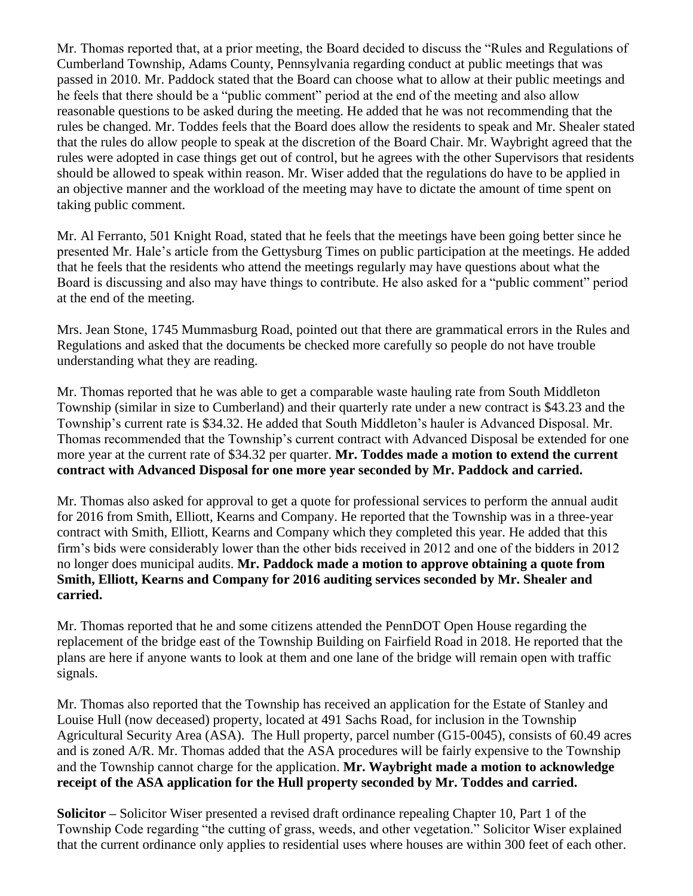Mr. Thomas reported that, at a prior meeting, the Board decided to discuss the "Rules and Regulations of Cumberland Township, Adams County, Pennsylvania regarding conduct at public meetings that was passed in 2010. Mr. Paddock stated that the Board can choose what to allow at their public meetings and he feels that there should be a "public comment" period at the end of the meeting and also allow reasonable questions to be asked during the meeting. He added that he was not recommending that the rules be changed. Mr. Toddes feels that the Board does allow the residents to speak and Mr. Shealer stated that the rules do allow people to speak at the discretion of the Board Chair. Mr. Waybright agreed that the rules were adopted in case things get out of control, but he agrees with the other Supervisors that residents should be allowed to speak within reason. Mr. Wiser added that the regulations do have to be applied in an objective manner and the workload of the meeting may have to dictate the amount of time spent on taking public comment.

Mr. Al Ferranto, 501 Knight Road, stated that he feels that the meetings have been going better since he presented Mr. Hale's article from the Gettysburg Times on public participation at the meetings. He added that he feels that the residents who attend the meetings regularly may have questions about what the Board is discussing and also may have things to contribute. He also asked for a "public comment" period at the end of the meeting.

Mrs. Jean Stone, 1745 Mummasburg Road, pointed out that there are grammatical errors in the Rules and Regulations and asked that the documents be checked more carefully so people do not have trouble understanding what they are reading.

Mr. Thomas reported that he was able to get a comparable waste hauling rate from South Middleton Township (similar in size to Cumberland) and their quarterly rate under a new contract is \$43.23 and the Township's current rate is \$34.32. He added that South Middleton's hauler is Advanced Disposal. Mr. Thomas recommended that the Township's current contract with Advanced Disposal be extended for one more year at the current rate of \$34.32 per quarter. **Mr. Toddes made a motion to extend the current contract with Advanced Disposal for one more year seconded by Mr. Paddock and carried.**

Mr. Thomas also asked for approval to get a quote for professional services to perform the annual audit for 2016 from Smith, Elliott, Kearns and Company. He reported that the Township was in a three-year contract with Smith, Elliott, Kearns and Company which they completed this year. He added that this firm's bids were considerably lower than the other bids received in 2012 and one of the bidders in 2012 no longer does municipal audits. **Mr. Paddock made a motion to approve obtaining a quote from Smith, Elliott, Kearns and Company for 2016 auditing services seconded by Mr. Shealer and carried.**

Mr. Thomas reported that he and some citizens attended the PennDOT Open House regarding the replacement of the bridge east of the Township Building on Fairfield Road in 2018. He reported that the plans are here if anyone wants to look at them and one lane of the bridge will remain open with traffic signals.

Mr. Thomas also reported that the Township has received an application for the Estate of Stanley and Louise Hull (now deceased) property, located at 491 Sachs Road, for inclusion in the Township Agricultural Security Area (ASA). The Hull property, parcel number (G15-0045), consists of 60.49 acres and is zoned A/R. Mr. Thomas added that the ASA procedures will be fairly expensive to the Township and the Township cannot charge for the application. **Mr. Waybright made a motion to acknowledge receipt of the ASA application for the Hull property seconded by Mr. Toddes and carried.**

**Solicitor –** Solicitor Wiser presented a revised draft ordinance repealing Chapter 10, Part 1 of the Township Code regarding "the cutting of grass, weeds, and other vegetation." Solicitor Wiser explained that the current ordinance only applies to residential uses where houses are within 300 feet of each other.